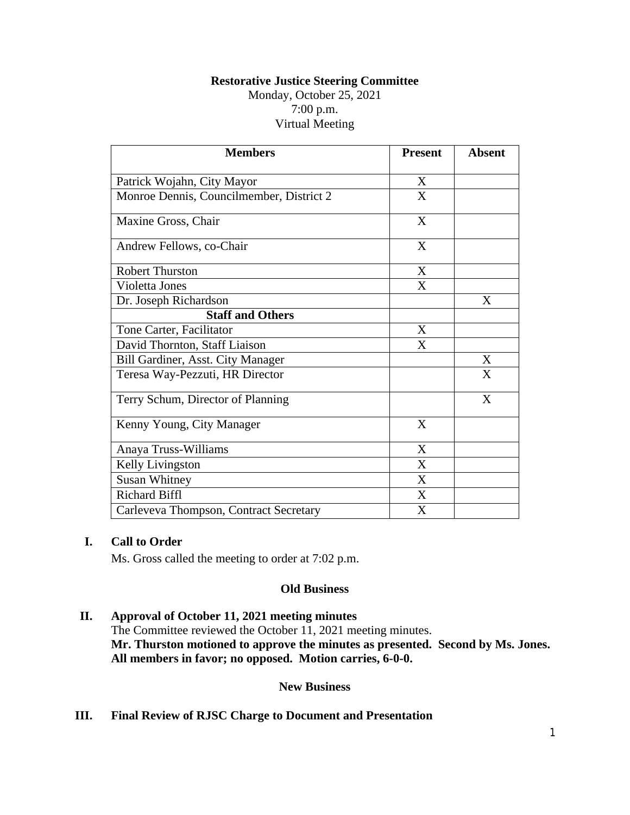# **Restorative Justice Steering Committee**

Monday, October 25, 2021 7:00 p.m. Virtual Meeting

| <b>Members</b>                           | <b>Present</b> | <b>Absent</b> |
|------------------------------------------|----------------|---------------|
| Patrick Wojahn, City Mayor               | X              |               |
| Monroe Dennis, Councilmember, District 2 | X              |               |
| Maxine Gross, Chair                      | X              |               |
| Andrew Fellows, co-Chair                 | X              |               |
| <b>Robert Thurston</b>                   | X              |               |
| Violetta Jones                           | X              |               |
| Dr. Joseph Richardson                    |                | X             |
| <b>Staff and Others</b>                  |                |               |
| Tone Carter, Facilitator                 | X              |               |
| David Thornton, Staff Liaison            | X              |               |
| Bill Gardiner, Asst. City Manager        |                | X             |
| Teresa Way-Pezzuti, HR Director          |                | X             |
| Terry Schum, Director of Planning        |                | $\mathbf{X}$  |
| Kenny Young, City Manager                | X              |               |
| Anaya Truss-Williams                     | X              |               |
| Kelly Livingston                         | X              |               |
| <b>Susan Whitney</b>                     | X              |               |
| <b>Richard Biffl</b>                     | X              |               |
| Carleveva Thompson, Contract Secretary   | X              |               |

## **I. Call to Order**

Ms. Gross called the meeting to order at 7:02 p.m.

#### **Old Business**

# **II. Approval of October 11, 2021 meeting minutes**

The Committee reviewed the October 11, 2021 meeting minutes. **Mr. Thurston motioned to approve the minutes as presented. Second by Ms. Jones. All members in favor; no opposed. Motion carries, 6-0-0.**

### **New Business**

### **III. Final Review of RJSC Charge to Document and Presentation**